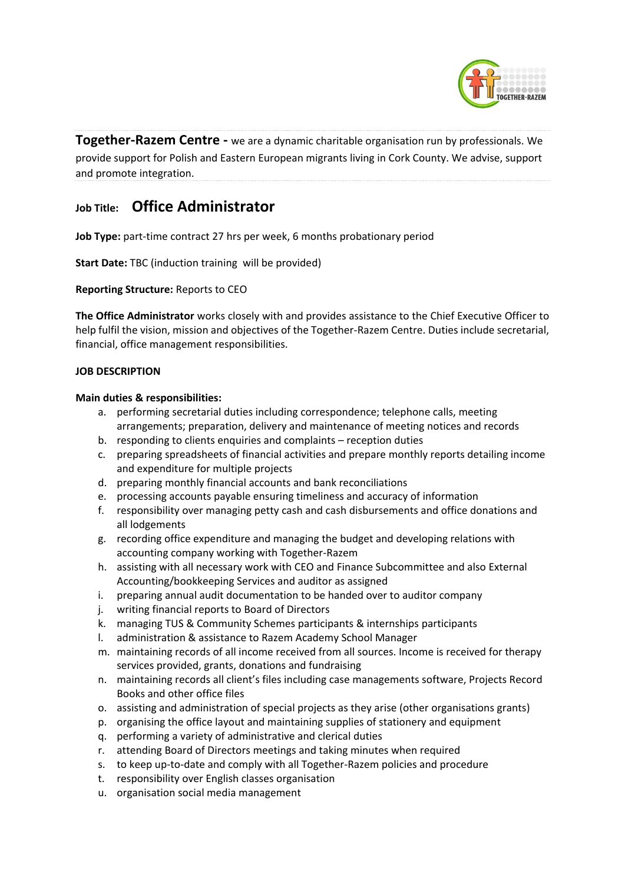

**Together-Razem Centre -** we are a dynamic charitable organisation run by professionals. We provide support for Polish and Eastern European migrants living in Cork County. We advise, support and promote integration.

# **Job Title: Office Administrator**

**Job Type:** part-time contract 27 hrs per week, 6 months probationary period

**Start Date:** TBC (induction training will be provided)

**Reporting Structure:** Reports to CEO

**The Office Administrator** works closely with and provides assistance to the Chief Executive Officer to help fulfil the vision, mission and objectives of the Together-Razem Centre. Duties include secretarial, financial, office management responsibilities.

## **JOB DESCRIPTION**

## **Main duties & responsibilities:**

- a. performing secretarial duties including correspondence; telephone calls, meeting arrangements; preparation, delivery and maintenance of meeting notices and records
- b. responding to clients enquiries and complaints reception duties
- c. preparing spreadsheets of financial activities and prepare monthly reports detailing income and expenditure for multiple projects
- d. preparing monthly financial accounts and bank reconciliations
- e. processing accounts payable ensuring timeliness and accuracy of information
- f. responsibility over managing petty cash and cash disbursements and office donations and all lodgements
- g. recording office expenditure and managing the budget and developing relations with accounting company working with Together-Razem
- h. assisting with all necessary work with CEO and Finance Subcommittee and also External Accounting/bookkeeping Services and auditor as assigned
- i. preparing annual audit documentation to be handed over to auditor company
- j. writing financial reports to Board of Directors
- k. managing TUS & Community Schemes participants & internships participants
- l. administration & assistance to Razem Academy School Manager
- m. maintaining records of all income received from all sources. Income is received for therapy services provided, grants, donations and fundraising
- n. maintaining records all client's files including case managements software, Projects Record Books and other office files
- o. assisting and administration of special projects as they arise (other organisations grants)
- p. organising the office layout and maintaining supplies of stationery and equipment
- q. performing a variety of administrative and clerical duties
- r. attending Board of Directors meetings and taking minutes when required
- s. to keep up-to-date and comply with all Together-Razem policies and procedure
- t. responsibility over English classes organisation
- u. organisation social media management